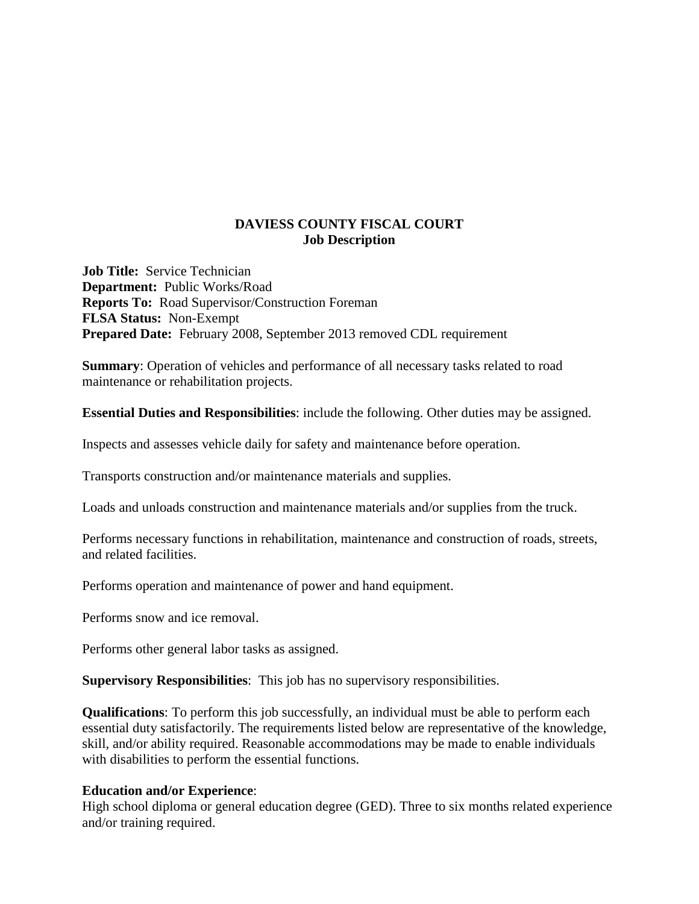## **DAVIESS COUNTY FISCAL COURT Job Description**

**Job Title:** Service Technician **Department:** Public Works/Road **Reports To:** Road Supervisor/Construction Foreman **FLSA Status:** Non-Exempt **Prepared Date:** February 2008, September 2013 removed CDL requirement

**Summary**: Operation of vehicles and performance of all necessary tasks related to road maintenance or rehabilitation projects.

**Essential Duties and Responsibilities**: include the following. Other duties may be assigned.

Inspects and assesses vehicle daily for safety and maintenance before operation.

Transports construction and/or maintenance materials and supplies.

Loads and unloads construction and maintenance materials and/or supplies from the truck.

Performs necessary functions in rehabilitation, maintenance and construction of roads, streets, and related facilities.

Performs operation and maintenance of power and hand equipment.

Performs snow and ice removal.

Performs other general labor tasks as assigned.

**Supervisory Responsibilities**: This job has no supervisory responsibilities.

**Qualifications**: To perform this job successfully, an individual must be able to perform each essential duty satisfactorily. The requirements listed below are representative of the knowledge, skill, and/or ability required. Reasonable accommodations may be made to enable individuals with disabilities to perform the essential functions.

## **Education and/or Experience**:

High school diploma or general education degree (GED). Three to six months related experience and/or training required.